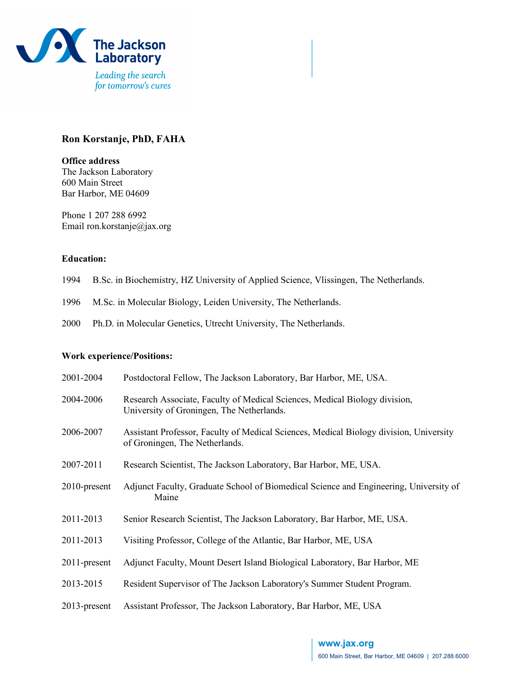

# **Ron Korstanje, PhD, FAHA**

**Office address** The Jackson Laboratory 600 Main Street Bar Harbor, ME 04609

Phone 1 207 288 6992 Email ron.korstanje@jax.org

#### **Education:**

- 1994 B.Sc. in Biochemistry, HZ University of Applied Science, Vlissingen, The Netherlands.
- 1996 M.Sc. in Molecular Biology, Leiden University, The Netherlands.
- 2000 Ph.D. in Molecular Genetics, Utrecht University, The Netherlands.

#### **Work experience/Positions:**

| 2001-2004       | Postdoctoral Fellow, The Jackson Laboratory, Bar Harbor, ME, USA.                                                        |
|-----------------|--------------------------------------------------------------------------------------------------------------------------|
| 2004-2006       | Research Associate, Faculty of Medical Sciences, Medical Biology division,<br>University of Groningen, The Netherlands.  |
| 2006-2007       | Assistant Professor, Faculty of Medical Sciences, Medical Biology division, University<br>of Groningen, The Netherlands. |
| 2007-2011       | Research Scientist, The Jackson Laboratory, Bar Harbor, ME, USA.                                                         |
| $2010$ -present | Adjunct Faculty, Graduate School of Biomedical Science and Engineering, University of<br>Maine                           |
| 2011-2013       | Senior Research Scientist, The Jackson Laboratory, Bar Harbor, ME, USA.                                                  |
| 2011-2013       | Visiting Professor, College of the Atlantic, Bar Harbor, ME, USA                                                         |
| 2011-present    | Adjunct Faculty, Mount Desert Island Biological Laboratory, Bar Harbor, ME                                               |
| 2013-2015       | Resident Supervisor of The Jackson Laboratory's Summer Student Program.                                                  |
| 2013-present    | Assistant Professor, The Jackson Laboratory, Bar Harbor, ME, USA                                                         |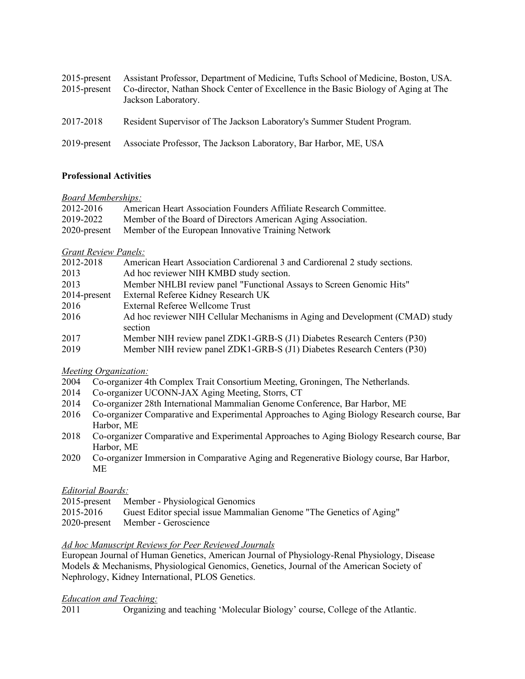| $2015$ -present<br>$2015$ -present | Assistant Professor, Department of Medicine, Tufts School of Medicine, Boston, USA.<br>Co-director, Nathan Shock Center of Excellence in the Basic Biology of Aging at The<br>Jackson Laboratory. |
|------------------------------------|---------------------------------------------------------------------------------------------------------------------------------------------------------------------------------------------------|
| 2017-2018                          | Resident Supervisor of The Jackson Laboratory's Summer Student Program.                                                                                                                           |
| 2019-present                       | Associate Professor, The Jackson Laboratory, Bar Harbor, ME, USA                                                                                                                                  |

### **Professional Activities**

### *Board Memberships:*

| 2012-2016    | American Heart Association Founders Affiliate Research Committee. |
|--------------|-------------------------------------------------------------------|
| 2019-2022    | Member of the Board of Directors American Aging Association.      |
| 2020-present | Member of the European Innovative Training Network                |

## *Grant Review Panels:*

| 2012-2018       | American Heart Association Cardiorenal 3 and Cardiorenal 2 study sections.               |
|-----------------|------------------------------------------------------------------------------------------|
| 2013            | Ad hoc reviewer NIH KMBD study section.                                                  |
| 2013            | Member NHLBI review panel "Functional Assays to Screen Genomic Hits"                     |
| $2014$ -present | External Referee Kidney Research UK                                                      |
| 2016            | External Referee Wellcome Trust                                                          |
| 2016            | Ad hoc reviewer NIH Cellular Mechanisms in Aging and Development (CMAD) study<br>section |
| 2017            | Member NIH review panel ZDK1-GRB-S (J1) Diabetes Research Centers (P30)                  |
| 2019            | Member NIH review panel ZDK1-GRB-S (J1) Diabetes Research Centers (P30)                  |

### *Meeting Organization:*

- 2004 Co-organizer 4th Complex Trait Consortium Meeting, Groningen, The Netherlands.
- 2014 Co-organizer UCONN-JAX Aging Meeting, Storrs, CT
- 2014 Co-organizer 28th International Mammalian Genome Conference, Bar Harbor, ME
- 2016 Co-organizer Comparative and Experimental Approaches to Aging Biology Research course, Bar Harbor, ME
- 2018 Co-organizer Comparative and Experimental Approaches to Aging Biology Research course, Bar Harbor, ME
- 2020 Co-organizer Immersion in Comparative Aging and Regenerative Biology course, Bar Harbor, ME

# *Editorial Boards:*

- 2015-present Member Physiological Genomics
- 2015-2016 Guest Editor special issue Mammalian Genome "The Genetics of Aging"
- 2020-present Member Geroscience

### *Ad hoc Manuscript Reviews for Peer Reviewed Journals*

European Journal of Human Genetics, American Journal of Physiology-Renal Physiology, Disease Models & Mechanisms, Physiological Genomics, Genetics, Journal of the American Society of Nephrology, Kidney International, PLOS Genetics.

# *Education and Teaching:*

2011 Organizing and teaching 'Molecular Biology' course, College of the Atlantic.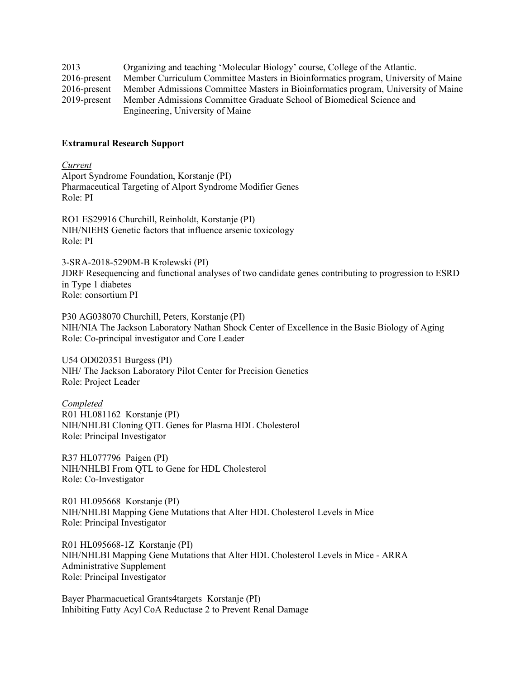| 2013            | Organizing and teaching 'Molecular Biology' course, College of the Atlantic.       |
|-----------------|------------------------------------------------------------------------------------|
| $2016$ -present | Member Curriculum Committee Masters in Bioinformatics program, University of Maine |
| $2016$ -present | Member Admissions Committee Masters in Bioinformatics program, University of Maine |
| 2019-present    | Member Admissions Committee Graduate School of Biomedical Science and              |
|                 | Engineering, University of Maine                                                   |

#### **Extramural Research Support**

*Current* Alport Syndrome Foundation, Korstanje (PI) Pharmaceutical Targeting of Alport Syndrome Modifier Genes Role: PI

RO1 ES29916 Churchill, Reinholdt, Korstanje (PI) NIH/NIEHS Genetic factors that influence arsenic toxicology Role: PI

3-SRA-2018-5290M-B Krolewski (PI) JDRF Resequencing and functional analyses of two candidate genes contributing to progression to ESRD in Type 1 diabetes Role: consortium PI

P30 AG038070 Churchill, Peters, Korstanje (PI) NIH/NIA The Jackson Laboratory Nathan Shock Center of Excellence in the Basic Biology of Aging Role: Co-principal investigator and Core Leader

U54 OD020351 Burgess (PI) NIH/ The Jackson Laboratory Pilot Center for Precision Genetics Role: Project Leader

*Completed* R01 HL081162 Korstanje (PI) NIH/NHLBI Cloning QTL Genes for Plasma HDL Cholesterol Role: Principal Investigator

R37 HL077796 Paigen (PI) NIH/NHLBI From QTL to Gene for HDL Cholesterol Role: Co-Investigator

R01 HL095668 Korstanje (PI) NIH/NHLBI Mapping Gene Mutations that Alter HDL Cholesterol Levels in Mice Role: Principal Investigator

R01 HL095668-1Z Korstanje (PI) NIH/NHLBI Mapping Gene Mutations that Alter HDL Cholesterol Levels in Mice - ARRA Administrative Supplement Role: Principal Investigator

Bayer Pharmacuetical Grants4targets Korstanje (PI) Inhibiting Fatty Acyl CoA Reductase 2 to Prevent Renal Damage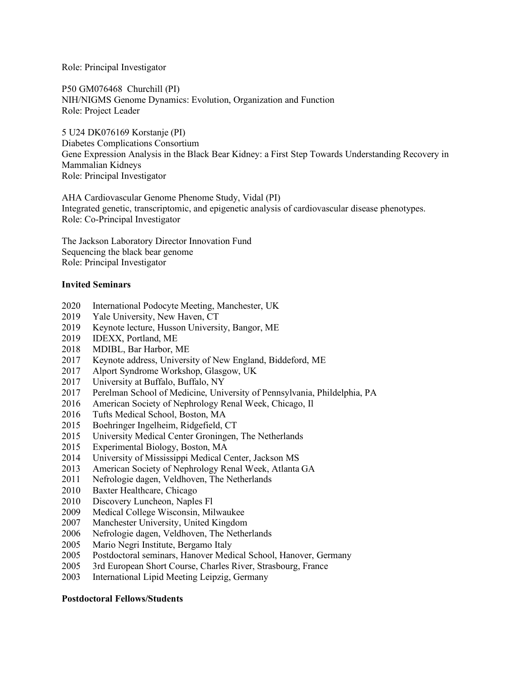Role: Principal Investigator

P50 GM076468 Churchill (PI) NIH/NIGMS Genome Dynamics: Evolution, Organization and Function Role: Project Leader

5 U24 DK076169 Korstanje (PI) Diabetes Complications Consortium Gene Expression Analysis in the Black Bear Kidney: a First Step Towards Understanding Recovery in Mammalian Kidneys Role: Principal Investigator

AHA Cardiovascular Genome Phenome Study, Vidal (PI) Integrated genetic, transcriptomic, and epigenetic analysis of cardiovascular disease phenotypes. Role: Co-Principal Investigator

The Jackson Laboratory Director Innovation Fund Sequencing the black bear genome Role: Principal Investigator

#### **Invited Seminars**

- 2020 International Podocyte Meeting, Manchester, UK
- 2019 Yale University, New Haven, CT
- 2019 Keynote lecture, Husson University, Bangor, ME
- 2019 IDEXX, Portland, ME
- 2018 MDIBL, Bar Harbor, ME
- 2017 Keynote address, University of New England, Biddeford, ME
- 2017 Alport Syndrome Workshop, Glasgow, UK
- 2017 University at Buffalo, Buffalo, NY
- 2017 Perelman School of Medicine, University of Pennsylvania, Phildelphia, PA
- 2016 American Society of Nephrology Renal Week, Chicago, Il
- 2016 Tufts Medical School, Boston, MA
- 2015 Boehringer Ingelheim, Ridgefield, CT
- 2015 University Medical Center Groningen, The Netherlands
- 2015 Experimental Biology, Boston, MA
- 2014 University of Mississippi Medical Center, Jackson MS
- 2013 American Society of Nephrology Renal Week, Atlanta GA
- 2011 Nefrologie dagen, Veldhoven, The Netherlands
- 2010 Baxter Healthcare, Chicago
- 2010 Discovery Luncheon, Naples Fl
- 2009 Medical College Wisconsin, Milwaukee
- 2007 Manchester University, United Kingdom
- 2006 Nefrologie dagen, Veldhoven, The Netherlands
- 2005 Mario Negri Institute, Bergamo Italy
- 2005 Postdoctoral seminars, Hanover Medical School, Hanover, Germany
- 2005 3rd European Short Course, Charles River, Strasbourg, France
- 2003 International Lipid Meeting Leipzig, Germany

### **Postdoctoral Fellows/Students**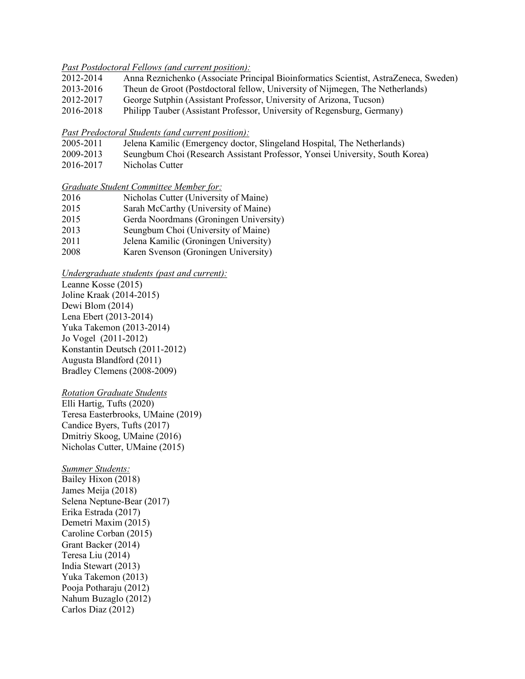#### *Past Postdoctoral Fellows (and current position):*

- 2012-2014 Anna Reznichenko (Associate Principal Bioinformatics Scientist, AstraZeneca, Sweden)
- 2013-2016 Theun de Groot (Postdoctoral fellow, University of Nijmegen, The Netherlands)
- 2012-2017 George Sutphin (Assistant Professor, University of Arizona, Tucson)
- 2016-2018 Philipp Tauber (Assistant Professor, University of Regensburg, Germany)

#### *Past Predoctoral Students (and current position):*

- 2005-2011 Jelena Kamilic (Emergency doctor, Slingeland Hospital, The Netherlands)
- 2009-2013 Seungbum Choi (Research Assistant Professor, Yonsei University, South Korea)
- 2016-2017 Nicholas Cutter

### *Graduate Student Committee Member for:*

| 2016 | Nicholas Cutter (University of Maine)  |
|------|----------------------------------------|
| 2015 | Sarah McCarthy (University of Maine)   |
| 2015 | Gerda Noordmans (Groningen University) |
| 2013 | Seungbum Choi (University of Maine)    |
| 2011 | Jelena Kamilic (Groningen University)  |
| 2008 | Karen Svenson (Groningen University)   |

### *Undergraduate students (past and current):*

Leanne Kosse (2015) Joline Kraak (2014-2015) Dewi Blom (2014) Lena Ebert (2013-2014) Yuka Takemon (2013-2014) Jo Vogel (2011-2012) Konstantin Deutsch (2011-2012) Augusta Blandford (2011) Bradley Clemens (2008-2009)

### *Rotation Graduate Students*

Elli Hartig, Tufts (2020) Teresa Easterbrooks, UMaine (2019) Candice Byers, Tufts (2017) Dmitriy Skoog, UMaine (2016) Nicholas Cutter, UMaine (2015)

### *Summer Students:*

Bailey Hixon (2018) James Meija (2018) Selena Neptune-Bear (2017) Erika Estrada (2017) Demetri Maxim (2015) Caroline Corban (2015) Grant Backer (2014) Teresa Liu (2014) India Stewart (2013) Yuka Takemon (2013) Pooja Potharaju (2012) Nahum Buzaglo (2012) Carlos Diaz (2012)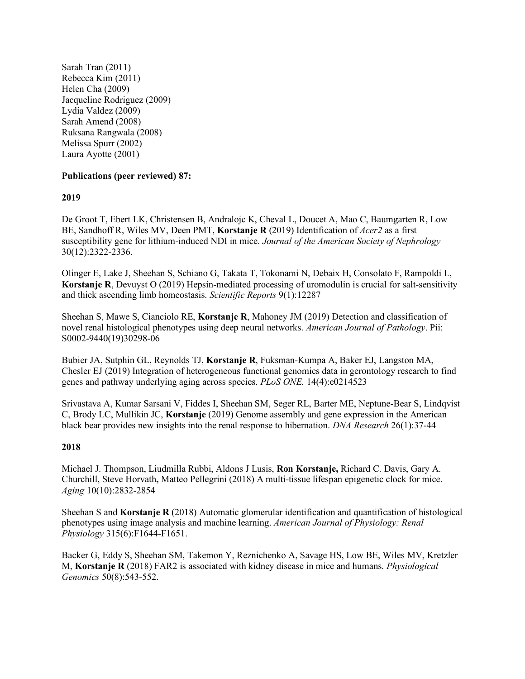Sarah Tran (2011) Rebecca Kim (2011) Helen Cha (2009) Jacqueline Rodriguez (2009) Lydia Valdez (2009) Sarah Amend (2008) Ruksana Rangwala (2008) Melissa Spurr (2002) Laura Ayotte (2001)

### **Publications (peer reviewed) 87:**

## **2019**

De Groot T, Ebert LK, Christensen B, Andralojc K, Cheval L, Doucet A, Mao C, Baumgarten R, Low BE, Sandhoff R, Wiles MV, Deen PMT, **Korstanje R** (2019) Identification of *Acer2* as a first susceptibility gene for lithium-induced NDI in mice. *Journal of the American Society of Nephrology* 30(12):2322-2336.

Olinger E, Lake J, Sheehan S, Schiano G, Takata T, Tokonami N, Debaix H, Consolato F, Rampoldi L, **Korstanje R**, Devuyst O (2019) Hepsin-mediated processing of uromodulin is crucial for salt-sensitivity and thick ascending limb homeostasis. *Scientific Reports* 9(1):12287

Sheehan S, Mawe S, Cianciolo RE, **Korstanje R**, Mahoney JM (2019) Detection and classification of novel renal histological phenotypes using deep neural networks. *American Journal of Pathology*. Pii: S0002-9440(19)30298-06

Bubier JA, Sutphin GL, Reynolds TJ, **Korstanje R**, Fuksman-Kumpa A, Baker EJ, Langston MA, Chesler EJ (2019) Integration of heterogeneous functional genomics data in gerontology research to find genes and pathway underlying aging across species. *PLoS ONE.* 14(4):e0214523

Srivastava A, Kumar Sarsani V, Fiddes I, Sheehan SM, Seger RL, Barter ME, Neptune-Bear S, Lindqvist C, Brody LC, Mullikin JC, **Korstanje** (2019) Genome assembly and gene expression in the American black bear provides new insights into the renal response to hibernation. *DNA Research* 26(1):37-44

### **2018**

Michael J. Thompson, Liudmilla Rubbi, Aldons J Lusis, **Ron Korstanje,** Richard C. Davis, Gary A. Churchill, Steve Horvath**,** Matteo Pellegrini (2018) A multi-tissue lifespan epigenetic clock for mice. *Aging* 10(10):2832-2854

Sheehan S and **Korstanje R** (2018) Automatic glomerular identification and quantification of histological phenotypes using image analysis and machine learning. *American Journal of Physiology: Renal Physiology* 315(6):F1644-F1651.

Backer G, Eddy S, Sheehan SM, Takemon Y, Reznichenko A, Savage HS, Low BE, Wiles MV, Kretzler M, **Korstanje R** (2018) FAR2 is associated with kidney disease in mice and humans. *Physiological Genomics* 50(8):543-552.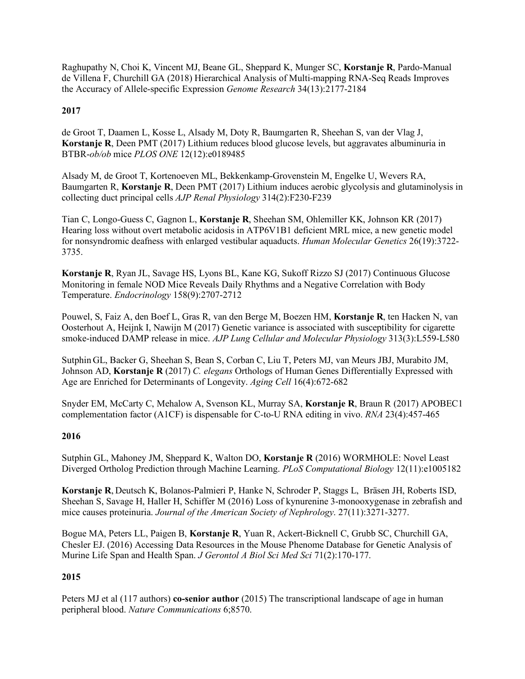Raghupathy N, Choi K, Vincent MJ, Beane GL, Sheppard K, Munger SC, **Korstanje R**, Pardo-Manual de Villena F, Churchill GA (2018) Hierarchical Analysis of Multi-mapping RNA-Seq Reads Improves the Accuracy of Allele-specific Expression *Genome Research* 34(13):2177-2184

## **2017**

de Groot T, Daamen L, Kosse L, Alsady M, Doty R, Baumgarten R, Sheehan S, van der Vlag J, **Korstanje R**, Deen PMT (2017) Lithium reduces blood glucose levels, but aggravates albuminuria in BTBR-*ob/ob* mice *PLOS ONE* 12(12):e0189485

Alsady M, de Groot T, Kortenoeven ML, Bekkenkamp-Grovenstein M, Engelke U, Wevers RA, Baumgarten R, **Korstanje R**, Deen PMT (2017) Lithium induces aerobic glycolysis and glutaminolysis in collecting duct principal cells *AJP Renal Physiology* 314(2):F230-F239

Tian C, Longo-Guess C, Gagnon L, **Korstanje R**, Sheehan SM, Ohlemiller KK, Johnson KR (2017) Hearing loss without overt metabolic acidosis in ATP6V1B1 deficient MRL mice, a new genetic model for nonsyndromic deafness with enlarged vestibular aquaducts. *Human Molecular Genetics* 26(19):3722- 3735.

**Korstanje R**, Ryan JL, Savage HS, Lyons BL, Kane KG, Sukoff Rizzo SJ (2017) Continuous Glucose Monitoring in female NOD Mice Reveals Daily Rhythms and a Negative Correlation with Body Temperature. *Endocrinology* 158(9):2707-2712

Pouwel, S, Faiz A, den Boef L, Gras R, van den Berge M, Boezen HM, **Korstanje R**, ten Hacken N, van Oosterhout A, Heijnk I, Nawijn M (2017) Genetic variance is associated with susceptibility for cigarette smoke-induced DAMP release in mice. *AJP Lung Cellular and Molecular Physiology* 313(3):L559-L580

Sutphin GL, Backer G, Sheehan S, Bean S, Corban C, Liu T, Peters MJ, van Meurs JBJ, Murabito JM, Johnson AD, **Korstanje R** (2017) *C. elegans* Orthologs of Human Genes Differentially Expressed with Age are Enriched for Determinants of Longevity. *Aging Cell* 16(4):672-682

Snyder EM, McCarty C, Mehalow A, Svenson KL, Murray SA, **Korstanje R**, Braun R (2017) APOBEC1 complementation factor (A1CF) is dispensable for C-to-U RNA editing in vivo. *RNA* 23(4):457-465

### **2016**

Sutphin GL, Mahoney JM, Sheppard K, Walton DO, **Korstanje R** (2016) WORMHOLE: Novel Least Diverged Ortholog Prediction through Machine Learning. *PLoS Computational Biology* 12(11):e1005182

**Korstanje R**, Deutsch K, Bolanos-Palmieri P, Hanke N, Schroder P, Staggs L, Bräsen JH, Roberts ISD, Sheehan S, Savage H, Haller H, Schiffer M (2016) Loss of kynurenine 3-monooxygenase in zebrafish and mice causes proteinuria. *Journal of the American Society of Nephrology*. 27(11):3271-3277.

Bogue MA, Peters LL, Paigen B, **Korstanje R**, Yuan R, Ackert-Bicknell C, Grubb SC, Churchill GA, Chesler EJ. (2016) Accessing Data Resources in the Mouse Phenome Database for Genetic Analysis of Murine Life Span and Health Span. *J Gerontol A Biol Sci Med Sci* 71(2):170-177.

### **2015**

Peters MJ et al (117 authors) **co-senior author** (2015) The transcriptional landscape of age in human peripheral blood. *Nature Communications* 6;8570.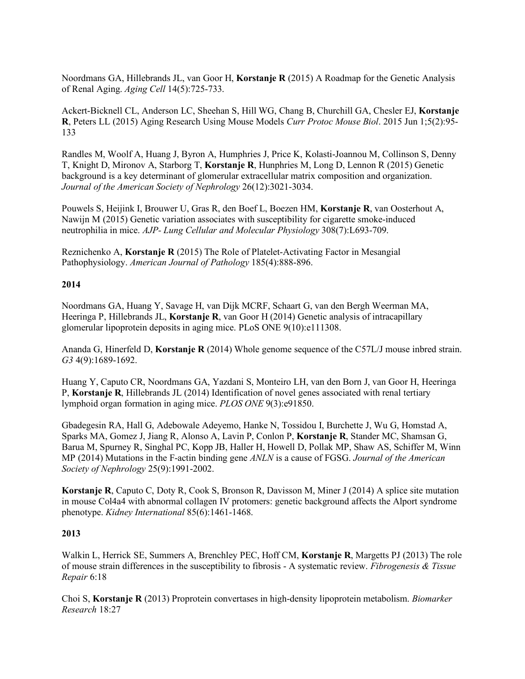Noordmans GA, Hillebrands JL, van Goor H, **Korstanje R** (2015) A Roadmap for the Genetic Analysis of Renal Aging. *Aging Cell* 14(5):725-733.

Ackert-Bicknell CL, Anderson LC, Sheehan S, Hill WG, Chang B, Churchill GA, Chesler EJ, **Korstanje R**, Peters LL (2015) Aging Research Using Mouse Models *Curr Protoc Mouse Biol*. 2015 Jun 1;5(2):95- 133

Randles M, Woolf A, Huang J, Byron A, Humphries J, Price K, Kolasti-Joannou M, Collinson S, Denny T, Knight D, Mironov A, Starborg T, **Korstanje R**, Hunphries M, Long D, Lennon R (2015) Genetic background is a key determinant of glomerular extracellular matrix composition and organization. *Journal of the American Society of Nephrology* 26(12):3021-3034.

Pouwels S, Heijink I, Brouwer U, Gras R, den Boef L, Boezen HM, **Korstanje R**, van Oosterhout A, Nawijn M (2015) Genetic variation associates with susceptibility for cigarette smoke-induced neutrophilia in mice. *AJP- Lung Cellular and Molecular Physiology* 308(7):L693-709.

Reznichenko A, **Korstanje R** (2015) The Role of Platelet-Activating Factor in Mesangial Pathophysiology. *American Journal of Pathology* 185(4):888-896.

### **2014**

Noordmans GA, Huang Y, Savage H, van Dijk MCRF, Schaart G, van den Bergh Weerman MA, Heeringa P, Hillebrands JL, **Korstanje R**, van Goor H (2014) Genetic analysis of intracapillary glomerular lipoprotein deposits in aging mice. PLoS ONE 9(10):e111308.

Ananda G, Hinerfeld D, **Korstanje R** (2014) Whole genome sequence of the C57L/J mouse inbred strain. *G3* 4(9):1689-1692.

Huang Y, Caputo CR, Noordmans GA, Yazdani S, Monteiro LH, van den Born J, van Goor H, Heeringa P, **Korstanje R**, Hillebrands JL (2014) Identification of novel genes associated with renal tertiary lymphoid organ formation in aging mice. *PLOS ONE* 9(3):e91850.

Gbadegesin RA, Hall G, Adebowale Adeyemo, Hanke N, Tossidou I, Burchette J, Wu G, Homstad A, Sparks MA, Gomez J, Jiang R, Alonso A, Lavin P, Conlon P, **Korstanje R**, Stander MC, Shamsan G, Barua M, Spurney R, Singhal PC, Kopp JB, Haller H, Howell D, Pollak MP, Shaw AS, Schiffer M, Winn MP (2014) Mutations in the F-actin binding gene *ANLN* is a cause of FGSG. *Journal of the American Society of Nephrology* 25(9):1991-2002.

**Korstanje R**, Caputo C, Doty R, Cook S, Bronson R, Davisson M, Miner J (2014) A splice site mutation in mouse Col4a4 with abnormal collagen IV protomers: genetic background affects the Alport syndrome phenotype. *Kidney International* 85(6):1461-1468.

### **2013**

Walkin L, Herrick SE, Summers A, Brenchley PEC, Hoff CM, **Korstanje R**, Margetts PJ (2013) The role of mouse strain differences in the susceptibility to fibrosis - A systematic review. *Fibrogenesis & Tissue Repair* 6:18

Choi S, **Korstanje R** (2013) Proprotein convertases in high-density lipoprotein metabolism. *Biomarker Research* 18:27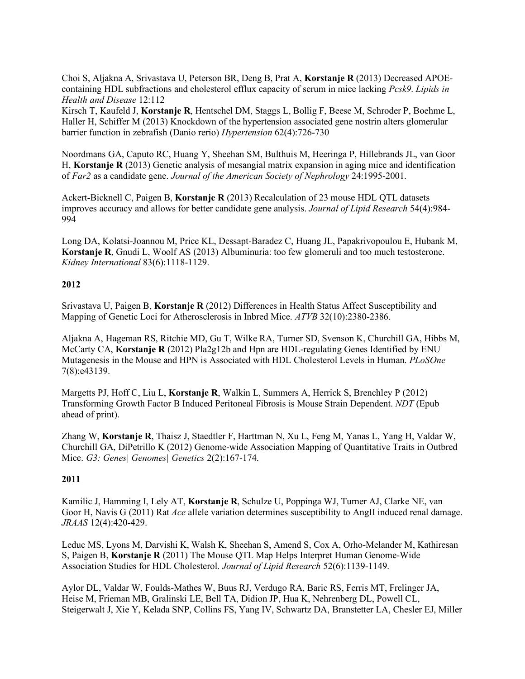Choi S, Aljakna A, Srivastava U, Peterson BR, Deng B, Prat A, **Korstanje R** (2013) Decreased APOEcontaining HDL subfractions and cholesterol efflux capacity of serum in mice lacking *Pcsk9*. *Lipids in Health and Disease* 12:112

Kirsch T, Kaufeld J, **Korstanje R**, Hentschel DM, Staggs L, Bollig F, Beese M, Schroder P, Boehme L, Haller H, Schiffer M (2013) Knockdown of the hypertension associated gene nostrin alters glomerular barrier function in zebrafish (Danio rerio) *Hypertension* 62(4):726-730

Noordmans GA, Caputo RC, Huang Y, Sheehan SM, Bulthuis M, Heeringa P, Hillebrands JL, van Goor H, **Korstanje R** (2013) Genetic analysis of mesangial matrix expansion in aging mice and identification of *Far2* as a candidate gene. *Journal of the American Society of Nephrology* 24:1995-2001.

Ackert-Bicknell C, Paigen B, **Korstanje R** (2013) Recalculation of 23 mouse HDL QTL datasets improves accuracy and allows for better candidate gene analysis. *Journal of Lipid Research* 54(4):984- 994

Long DA, Kolatsi-Joannou M, Price KL, Dessapt-Baradez C, Huang JL, Papakrivopoulou E, Hubank M, **Korstanje R**, Gnudi L, Woolf AS (2013) Albuminuria: too few glomeruli and too much testosterone. *Kidney International* 83(6):1118-1129.

## **2012**

Srivastava U, Paigen B, **Korstanje R** (2012) Differences in Health Status Affect Susceptibility and Mapping of Genetic Loci for Atherosclerosis in Inbred Mice. *ATVB* 32(10):2380-2386.

Aljakna A, Hageman RS, Ritchie MD, Gu T, Wilke RA, Turner SD, Svenson K, Churchill GA, Hibbs M, McCarty CA, **Korstanje R** (2012) Pla2g12b and Hpn are HDL-regulating Genes Identified by ENU Mutagenesis in the Mouse and HPN is Associated with HDL Cholesterol Levels in Human. *PLoSOne* 7(8):e43139.

Margetts PJ, Hoff C, Liu L, **Korstanje R**, Walkin L, Summers A, Herrick S, Brenchley P (2012) Transforming Growth Factor B Induced Peritoneal Fibrosis is Mouse Strain Dependent. *NDT* (Epub ahead of print).

Zhang W, **Korstanje R**, Thaisz J, Staedtler F, Harttman N, Xu L, Feng M, Yanas L, Yang H, Valdar W, Churchill GA, DiPetrillo K (2012) Genome-wide Association Mapping of Quantitative Traits in Outbred Mice. *G3: Genes| Genomes| Genetics* 2(2):167-174.

# **2011**

Kamilic J, Hamming I, Lely AT, **Korstanje R**, Schulze U, Poppinga WJ, Turner AJ, Clarke NE, van Goor H, Navis G (2011) Rat *Ace* allele variation determines susceptibility to AngII induced renal damage. *JRAAS* 12(4):420-429.

Leduc MS, Lyons M, Darvishi K, Walsh K, Sheehan S, Amend S, Cox A, Orho-Melander M, Kathiresan S, Paigen B, **Korstanje R** (2011) The Mouse QTL Map Helps Interpret Human Genome-Wide Association Studies for HDL Cholesterol. *Journal of Lipid Research* 52(6):1139-1149.

Aylor DL, Valdar W, Foulds-Mathes W, Buus RJ, Verdugo RA, Baric RS, Ferris MT, Frelinger JA, Heise M, Frieman MB, Gralinski LE, Bell TA, Didion JP, Hua K, Nehrenberg DL, Powell CL, Steigerwalt J, Xie Y, Kelada SNP, Collins FS, Yang IV, Schwartz DA, Branstetter LA, Chesler EJ, Miller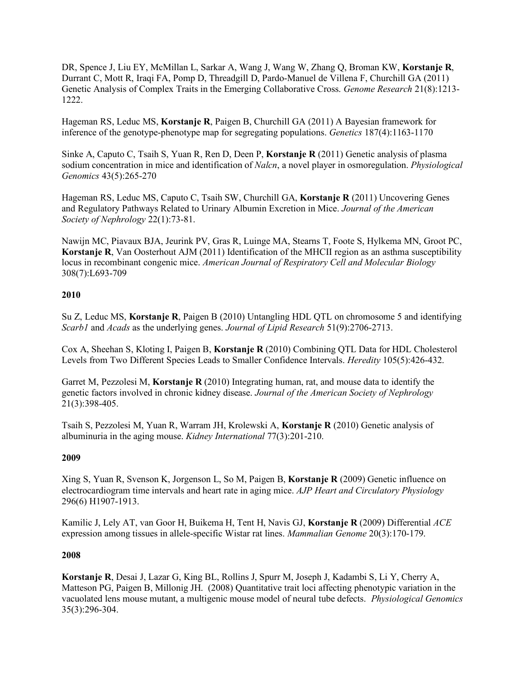DR, Spence J, Liu EY, McMillan L, Sarkar A, Wang J, Wang W, Zhang Q, Broman KW, **Korstanje R**, Durrant C, Mott R, Iraqi FA, Pomp D, Threadgill D, Pardo-Manuel de Villena F, Churchill GA (2011) Genetic Analysis of Complex Traits in the Emerging Collaborative Cross. *Genome Research* 21(8):1213- 1222.

Hageman RS, Leduc MS, **Korstanje R**, Paigen B, Churchill GA (2011) A Bayesian framework for inference of the genotype-phenotype map for segregating populations. *Genetics* 187(4):1163-1170

Sinke A, Caputo C, Tsaih S, Yuan R, Ren D, Deen P, **Korstanje R** (2011) Genetic analysis of plasma sodium concentration in mice and identification of *Nalcn*, a novel player in osmoregulation. *Physiological Genomics* 43(5):265-270

Hageman RS, Leduc MS, Caputo C, Tsaih SW, Churchill GA, **Korstanje R** (2011) Uncovering Genes and Regulatory Pathways Related to Urinary Albumin Excretion in Mice. *Journal of the American Society of Nephrology* 22(1):73-81.

Nawijn MC, Piavaux BJA, Jeurink PV, Gras R, Luinge MA, Stearns T, Foote S, Hylkema MN, Groot PC, **Korstanje R**, Van Oosterhout AJM (2011) Identification of the MHCII region as an asthma susceptibility locus in recombinant congenic mice. *American Journal of Respiratory Cell and Molecular Biology* 308(7):L693-709

### **2010**

Su Z, Leduc MS, **Korstanje R**, Paigen B (2010) Untangling HDL QTL on chromosome 5 and identifying *Scarb1* and *Acads* as the underlying genes. *Journal of Lipid Research* 51(9):2706-2713.

Cox A, Sheehan S, Kloting I, Paigen B, **Korstanje R** (2010) Combining QTL Data for HDL Cholesterol Levels from Two Different Species Leads to Smaller Confidence Intervals. *Heredity* 105(5):426-432.

Garret M, Pezzolesi M, **Korstanje R** (2010) Integrating human, rat, and mouse data to identify the genetic factors involved in chronic kidney disease. *Journal of the American Society of Nephrology* 21(3):398-405.

Tsaih S, Pezzolesi M, Yuan R, Warram JH, Krolewski A, **Korstanje R** (2010) Genetic analysis of albuminuria in the aging mouse. *Kidney International* 77(3):201-210.

### **2009**

Xing S, Yuan R, Svenson K, Jorgenson L, So M, Paigen B, **Korstanje R** (2009) Genetic influence on electrocardiogram time intervals and heart rate in aging mice. *AJP Heart and Circulatory Physiology* 296(6) H1907-1913.

Kamilic J, Lely AT, van Goor H, Buikema H, Tent H, Navis GJ, **Korstanje R** (2009) Differential *ACE* expression among tissues in allele-specific Wistar rat lines. *Mammalian Genome* 20(3):170-179.

### **2008**

**Korstanje R**, Desai J, Lazar G, King BL, Rollins J, Spurr M, Joseph J, Kadambi S, Li Y, Cherry A, Matteson PG, Paigen B, Millonig JH. (2008) Quantitative trait loci affecting phenotypic variation in the vacuolated lens mouse mutant, a multigenic mouse model of neural tube defects. *Physiological Genomics* 35(3):296-304.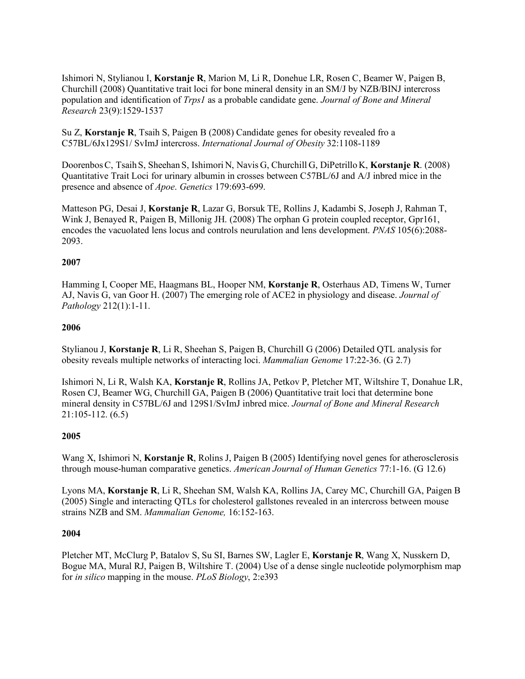Ishimori N, Stylianou I, **Korstanje R**, Marion M, Li R, Donehue LR, Rosen C, Beamer W, Paigen B, Churchill (2008) Quantitative trait loci for bone mineral density in an SM/J by NZB/BINJ intercross population and identification of *Trps1* as a probable candidate gene. *Journal of Bone and Mineral Research* 23(9):1529-1537

Su Z, **Korstanje R**, Tsaih S, Paigen B (2008) Candidate genes for obesity revealed fro a C57BL/6Jx129S1/ SvImJ intercross. *International Journal of Obesity* 32:1108-1189

DoorenbosC, TsaihS, Sheehan S, Ishimori N, Navis G, Churchill G, DiPetrillo K, **Korstanje R**. (2008) Quantitative Trait Loci for urinary albumin in crosses between C57BL/6J and A/J inbred mice in the presence and absence of *Apoe*. *Genetics* 179:693-699.

Matteson PG, Desai J, **Korstanje R**, Lazar G, Borsuk TE, Rollins J, Kadambi S, Joseph J, Rahman T, Wink J, Benayed R, Paigen B, Millonig JH. (2008) The orphan G protein coupled receptor, Gpr161, encodes the vacuolated lens locus and controls neurulation and lens development. *PNAS* 105(6):2088- 2093.

## **2007**

Hamming I, Cooper ME, Haagmans BL, Hooper NM, **Korstanje R**, Osterhaus AD, Timens W, Turner AJ, Navis G, van Goor H. (2007) The emerging role of ACE2 in physiology and disease. *Journal of Pathology* 212(1):1-11.

## **2006**

Stylianou J, **Korstanje R**, Li R, Sheehan S, Paigen B, Churchill G (2006) Detailed QTL analysis for obesity reveals multiple networks of interacting loci. *Mammalian Genome* 17:22-36. (G 2.7)

Ishimori N, Li R, Walsh KA, **Korstanje R**, Rollins JA, Petkov P, Pletcher MT, Wiltshire T, Donahue LR, Rosen CJ, Beamer WG, Churchill GA, Paigen B (2006) Quantitative trait loci that determine bone mineral density in C57BL/6J and 129S1/SvImJ inbred mice. *Journal of Bone and Mineral Research*  21:105-112. (6.5)

### **2005**

Wang X, Ishimori N, **Korstanje R**, Rolins J, Paigen B (2005) Identifying novel genes for atherosclerosis through mouse-human comparative genetics. *American Journal of Human Genetics* 77:1-16. (G 12.6)

Lyons MA, **Korstanje R**, Li R, Sheehan SM, Walsh KA, Rollins JA, Carey MC, Churchill GA, Paigen B (2005) Single and interacting QTLs for cholesterol gallstones revealed in an intercross between mouse strains NZB and SM. *Mammalian Genome,* 16:152-163.

### **2004**

Pletcher MT, McClurg P, Batalov S, Su SI, Barnes SW, Lagler E, **Korstanje R**, Wang X, Nusskern D, Bogue MA, Mural RJ, Paigen B, Wiltshire T. (2004) Use of a dense single nucleotide polymorphism map for *in silico* mapping in the mouse. *PLoS Biology*, 2:e393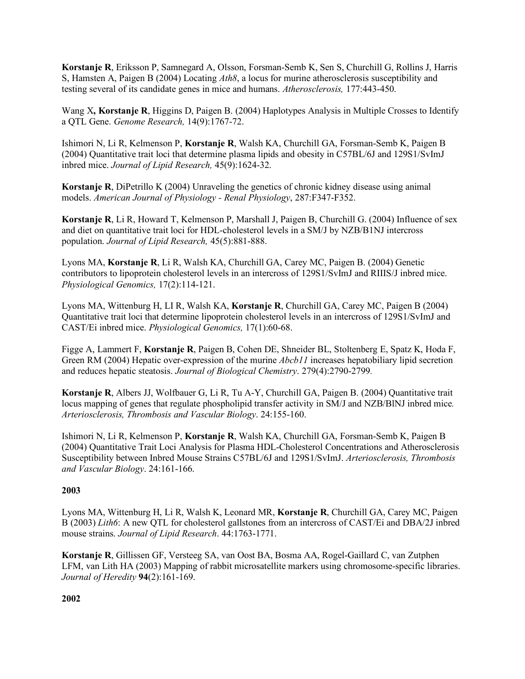**Korstanje R**, Eriksson P, Samnegard A, Olsson, Forsman-Semb K, Sen S, Churchill G, Rollins J, Harris S, Hamsten A, Paigen B (2004) Locating *Ath8*, a locus for murine atherosclerosis susceptibility and testing several of its candidate genes in mice and humans. *Atherosclerosis,* 177:443-450.

Wang X**, Korstanje R**, Higgins D, Paigen B. (2004) Haplotypes Analysis in Multiple Crosses to Identify a QTL Gene. *Genome Research,* 14(9):1767-72.

Ishimori N, Li R, Kelmenson P, **Korstanje R**, Walsh KA, Churchill GA, Forsman-Semb K, Paigen B (2004) Quantitative trait loci that determine plasma lipids and obesity in C57BL/6J and 129S1/SvImJ inbred mice. *Journal of Lipid Research,* 45(9):1624-32.

**Korstanje R**, DiPetrillo K (2004) Unraveling the genetics of chronic kidney disease using animal models. *American Journal of Physiology - Renal Physiology*, 287:F347-F352.

**Korstanje R**, Li R, Howard T, Kelmenson P, Marshall J, Paigen B, Churchill G. (2004) Influence of sex and diet on quantitative trait loci for HDL-cholesterol levels in a SM/J by NZB/B1NJ intercross population. *Journal of Lipid Research,* 45(5):881-888.

Lyons MA, **Korstanje R**, Li R, Walsh KA, Churchill GA, Carey MC, Paigen B. (2004) Genetic contributors to lipoprotein cholesterol levels in an intercross of 129S1/SvImJ and RIIIS/J inbred mice. *Physiological Genomics,* 17(2):114-121.

Lyons MA, Wittenburg H, LI R, Walsh KA, **Korstanje R**, Churchill GA, Carey MC, Paigen B (2004) Quantitative trait loci that determine lipoprotein cholesterol levels in an intercross of 129S1/SvImJ and CAST/Ei inbred mice. *Physiological Genomics,* 17(1):60-68.

Figge A, Lammert F, **Korstanje R**, Paigen B, Cohen DE, Shneider BL, Stoltenberg E, Spatz K, Hoda F, Green RM (2004) Hepatic over-expression of the murine *Abcb11* increases hepatobiliary lipid secretion and reduces hepatic steatosis. *Journal of Biological Chemistry*. 279(4):2790-2799*.*

**Korstanje R**, Albers JJ, Wolfbauer G, Li R, Tu A-Y, Churchill GA, Paigen B. (2004) Quantitative trait locus mapping of genes that regulate phospholipid transfer activity in SM/J and NZB/BlNJ inbred mice*. Arteriosclerosis, Thrombosis and Vascular Biology*. 24:155-160.

Ishimori N, Li R, Kelmenson P, **Korstanje R**, Walsh KA, Churchill GA, Forsman-Semb K, Paigen B (2004) Quantitative Trait Loci Analysis for Plasma HDL-Cholesterol Concentrations and Atherosclerosis Susceptibility between Inbred Mouse Strains C57BL/6J and 129S1/SvImJ. *Arteriosclerosis, Thrombosis and Vascular Biology*. 24:161-166.

### **2003**

Lyons MA, Wittenburg H, Li R, Walsh K, Leonard MR, **Korstanje R**, Churchill GA, Carey MC, Paigen B (2003) *Lith6*: A new QTL for cholesterol gallstones from an intercross of CAST/Ei and DBA/2J inbred mouse strains. *Journal of Lipid Research*. 44:1763-1771.

**Korstanje R**, Gillissen GF, Versteeg SA, van Oost BA, Bosma AA, Rogel-Gaillard C, van Zutphen LFM, van Lith HA (2003) Mapping of rabbit microsatellite markers using chromosome-specific libraries. *Journal of Heredity* **94**(2):161-169.

**2002**